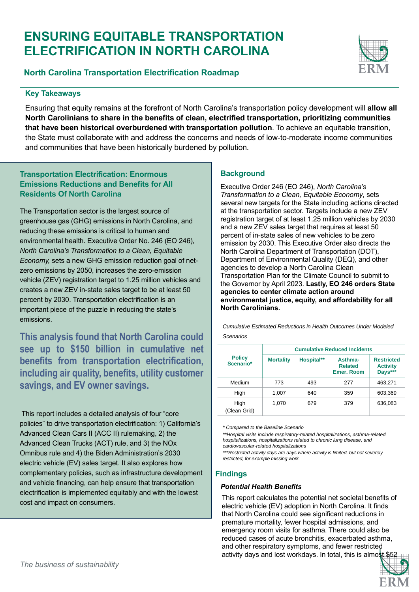# **ENSURING EQUITABLE TRANSPORTATION ELECTRIFICATION IN NORTH CAROLINA**



## **Key Takeaways**

Ensuring that equity remains at the forefront of North Carolina's transportation policy development will **allow all North Carolinians to share in the benefits of clean, electrified transportation, prioritizing communities that have been historical overburdened with transportation pollution**. To achieve an equitable transition, the State must collaborate with and address the concerns and needs of low-to-moderate income communities and communities that have been historically burdened by pollution.

# **Transportation Electrification: Enormous Emissions Reductions and Benefits for All Residents Of North Carolina**

The Transportation sector is the largest source of greenhouse gas (GHG) emissions in North Carolina, and reducing these emissions is critical to human and environmental health. Executive Order No. 246 (EO 246), *North Carolina's Transformation to a Clean, Equitable Economy,* sets a new GHG emission reduction goal of netzero emissions by 2050, increases the zero-emission vehicle (ZEV) registration target to 1.25 million vehicles and creates a new ZEV in-state sales target to be at least 50 percent by 2030. Transportation electrification is an important piece of the puzzle in reducing the state's emissions.

**This analysis found that North Carolina could see up to \$150 billion in cumulative net benefits from transportation electrification, including air quality, benefits, utility customer savings, and EV owner savings.** 

This report includes a detailed analysis of four "core policies" to drive transportation electrification: 1) California's Advanced Clean Cars II (ACC II) rulemaking, 2) the Advanced Clean Trucks (ACT) rule, and 3) the NOx Omnibus rule and 4) the Biden Administration's 2030 electric vehicle (EV) sales target. It also explores how complementary policies, such as infrastructure development and vehicle financing, can help ensure that transportation electrification is implemented equitably and with the lowest cost and impact on consumers.

# **Background**

Executive Order 246 (EO 246), *North Carolina's Transformation to a Clean, Equitable Economy*, sets several new targets for the State including actions directed at the transportation sector. Targets include a new ZEV registration target of at least 1.25 million vehicles by 2030 and a new ZEV sales target that requires at least 50 percent of in-state sales of new vehicles to be zero emission by 2030. This Executive Order also directs the North Carolina Department of Transportation (DOT), Department of Environmental Quality (DEQ), and other agencies to develop a North Carolina Clean Transportation Plan for the Climate Council to submit to the Governor by April 2023. **Lastly, EO 246 orders State agencies to center climate action around environmental justice, equity, and affordability for all North Carolinians.** 

*Cumulative Estimated Reductions in Health Outcomes Under Modeled Scenarios*

| <b>Policy</b><br>Scenario* | <b>Cumulative Reduced Incidents</b> |            |                                                |                                                 |
|----------------------------|-------------------------------------|------------|------------------------------------------------|-------------------------------------------------|
|                            | <b>Mortality</b>                    | Hospital** | Asthma-<br><b>Related</b><br><b>Emer. Room</b> | <b>Restricted</b><br><b>Activity</b><br>Days*** |
| Medium                     | 773                                 | 493        | 277                                            | 463,271                                         |
| High                       | 1.007                               | 640        | 359                                            | 603,369                                         |
| High<br>(Clean Grid)       | 1.070                               | 679        | 379                                            | 636,083                                         |

*\* Compared to the Baseline Scenario*

*\*\*Hospital visits include respiratory-related hospitalizations, asthma-related hospitalizations, hospitalizations related to chronic lung disease, and cardiovascular-related hospitalizations*

*\*\*\*Restricted activity days are days where activity is limited, but not severely restricted, for example missing work* 

### **Findings**

#### *Potential Health Benefits*

This report calculates the potential net societal benefits of electric vehicle (EV) adoption in North Carolina. It finds that North Carolina could see significant reductions in premature mortality, fewer hospital admissions, and emergency room visits for asthma. There could also be reduced cases of acute bronchitis, exacerbated asthma, and other respiratory symptoms, and fewer restricted activity days and lost workdays. In total, this is almost  $$52$